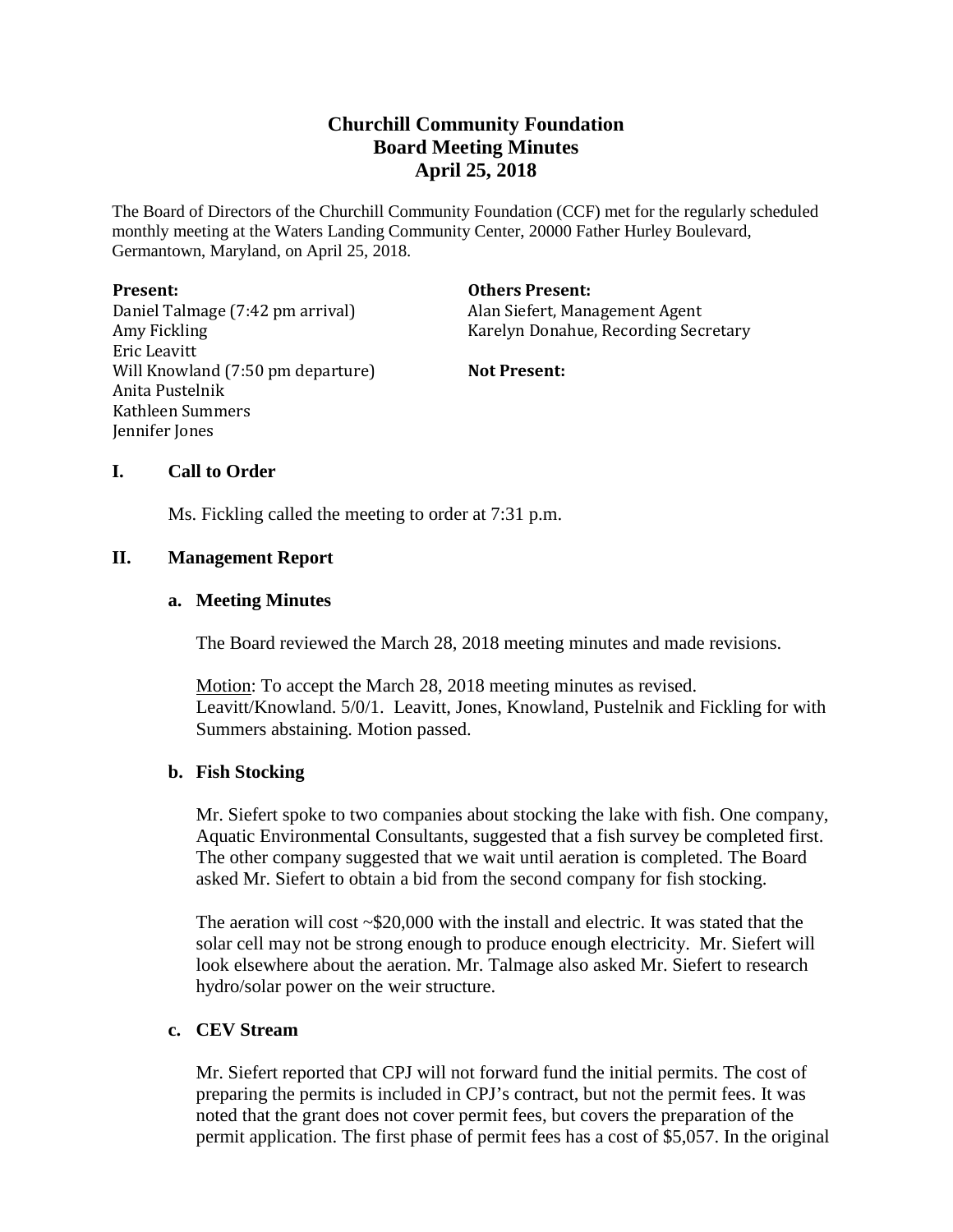# **Churchill Community Foundation Board Meeting Minutes April 25, 2018**

The Board of Directors of the Churchill Community Foundation (CCF) met for the regularly scheduled monthly meeting at the Waters Landing Community Center, 20000 Father Hurley Boulevard, Germantown, Maryland, on April 25, 2018.

#### **Present:**

Daniel Talmage (7:42 pm arrival) Amy Fickling Eric Leavitt Will Knowland (7:50 pm departure) Anita Pustelnik Kathleen Summers Jennifer Jones

#### **Others Present:**

Alan Siefert, Management Agent Karelyn Donahue, Recording Secretary

**Not Present:**

# **I. Call to Order**

Ms. Fickling called the meeting to order at 7:31 p.m.

# **II. Management Report**

# **a. Meeting Minutes**

The Board reviewed the March 28, 2018 meeting minutes and made revisions.

Motion: To accept the March 28, 2018 meeting minutes as revised. Leavitt/Knowland. 5/0/1. Leavitt, Jones, Knowland, Pustelnik and Fickling for with Summers abstaining. Motion passed.

### **b. Fish Stocking**

Mr. Siefert spoke to two companies about stocking the lake with fish. One company, Aquatic Environmental Consultants, suggested that a fish survey be completed first. The other company suggested that we wait until aeration is completed. The Board asked Mr. Siefert to obtain a bid from the second company for fish stocking.

The aeration will cost  $\sim$ \$20,000 with the install and electric. It was stated that the solar cell may not be strong enough to produce enough electricity. Mr. Siefert will look elsewhere about the aeration. Mr. Talmage also asked Mr. Siefert to research hydro/solar power on the weir structure.

# **c. CEV Stream**

Mr. Siefert reported that CPJ will not forward fund the initial permits. The cost of preparing the permits is included in CPJ's contract, but not the permit fees. It was noted that the grant does not cover permit fees, but covers the preparation of the permit application. The first phase of permit fees has a cost of \$5,057. In the original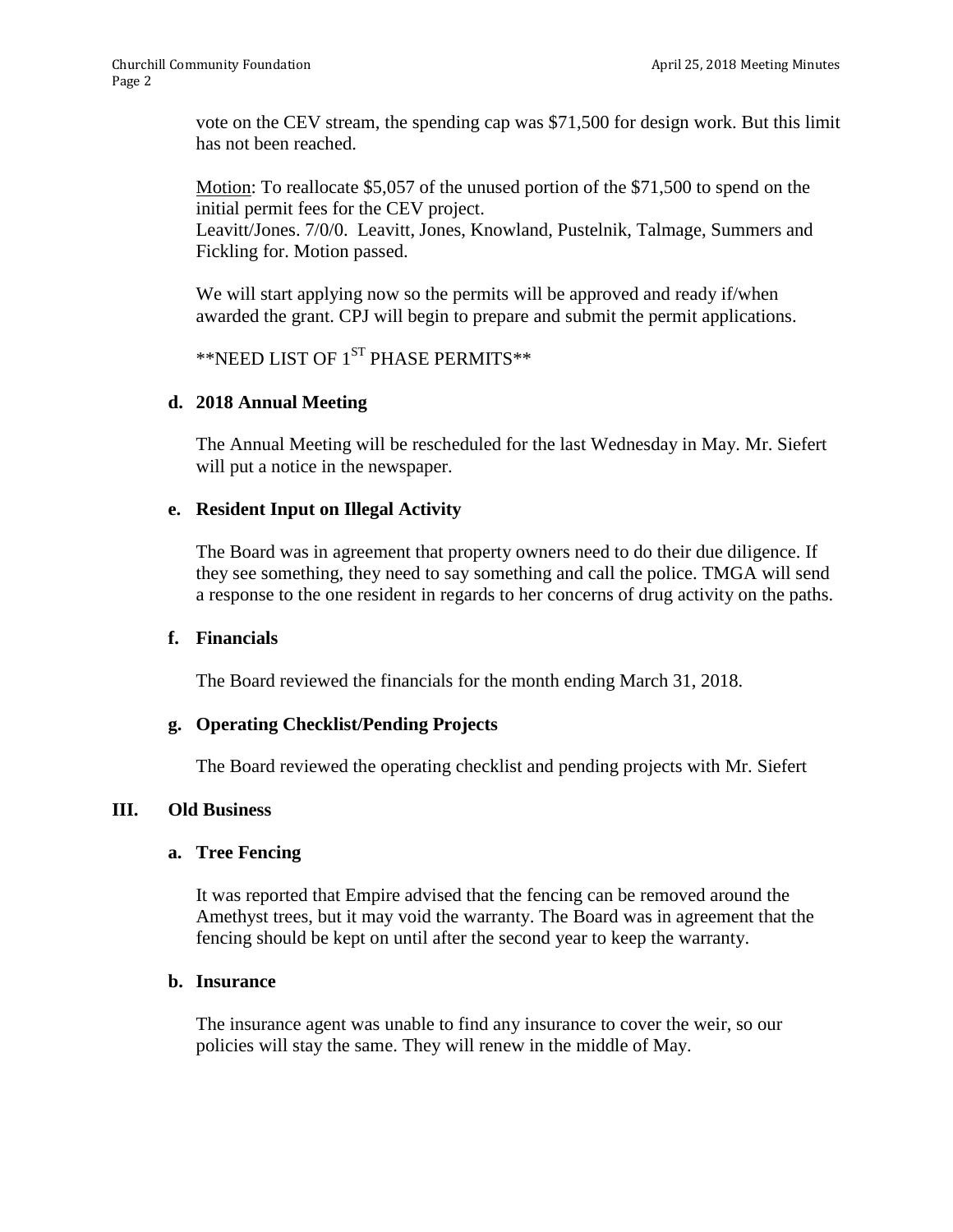vote on the CEV stream, the spending cap was \$71,500 for design work. But this limit has not been reached.

Motion: To reallocate \$5,057 of the unused portion of the \$71,500 to spend on the initial permit fees for the CEV project.

Leavitt/Jones. 7/0/0. Leavitt, Jones, Knowland, Pustelnik, Talmage, Summers and Fickling for. Motion passed.

We will start applying now so the permits will be approved and ready if/when awarded the grant. CPJ will begin to prepare and submit the permit applications.

```
\rm ^{\ast\ast}NEED LIST OF 1^{\rm ST} PHASE PERMITS \rm ^{\ast\ast}
```
# **d. 2018 Annual Meeting**

The Annual Meeting will be rescheduled for the last Wednesday in May. Mr. Siefert will put a notice in the newspaper.

# **e. Resident Input on Illegal Activity**

The Board was in agreement that property owners need to do their due diligence. If they see something, they need to say something and call the police. TMGA will send a response to the one resident in regards to her concerns of drug activity on the paths.

### **f. Financials**

The Board reviewed the financials for the month ending March 31, 2018.

### **g. Operating Checklist/Pending Projects**

The Board reviewed the operating checklist and pending projects with Mr. Siefert

### **III. Old Business**

### **a. Tree Fencing**

It was reported that Empire advised that the fencing can be removed around the Amethyst trees, but it may void the warranty. The Board was in agreement that the fencing should be kept on until after the second year to keep the warranty.

#### **b. Insurance**

The insurance agent was unable to find any insurance to cover the weir, so our policies will stay the same. They will renew in the middle of May.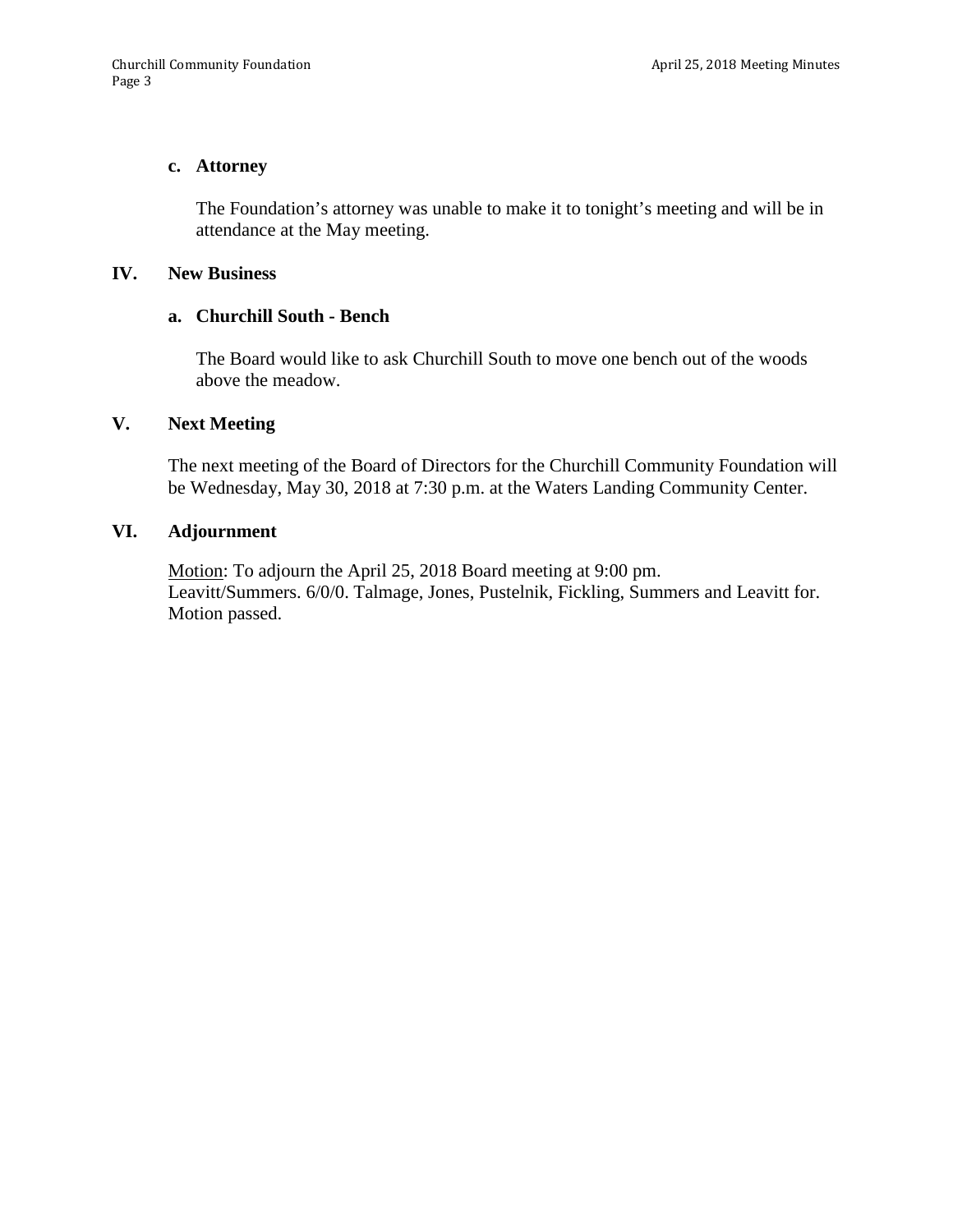#### **c. Attorney**

The Foundation's attorney was unable to make it to tonight's meeting and will be in attendance at the May meeting.

#### **IV. New Business**

#### **a. Churchill South - Bench**

The Board would like to ask Churchill South to move one bench out of the woods above the meadow.

# **V. Next Meeting**

The next meeting of the Board of Directors for the Churchill Community Foundation will be Wednesday, May 30, 2018 at 7:30 p.m. at the Waters Landing Community Center.

#### **VI. Adjournment**

Motion: To adjourn the April 25, 2018 Board meeting at 9:00 pm. Leavitt/Summers. 6/0/0. Talmage, Jones, Pustelnik, Fickling, Summers and Leavitt for. Motion passed.